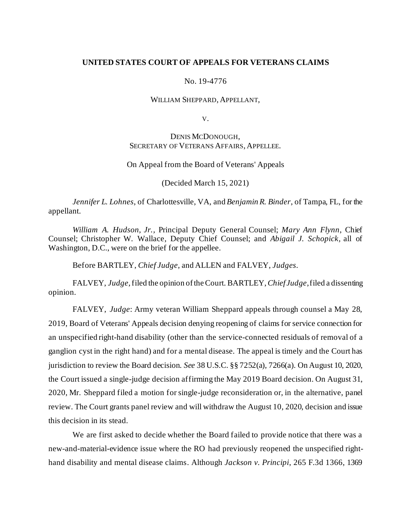# **UNITED STATES COURT OF APPEALS FOR VETERANS CLAIMS**

#### No. 19-4776

### WILLIAM SHEPPARD, APPELLANT,

V.

# DENIS MCDONOUGH, SECRETARY OF VETERANS AFFAIRS, APPELLEE.

## On Appeal from the Board of Veterans' Appeals

(Decided March 15, 2021)

*Jennifer L. Lohnes*, of Charlottesville, VA, and *Benjamin R. Binder*, of Tampa, FL, for the appellant.

*William A. Hudson, Jr.,* Principal Deputy General Counsel; *Mary Ann Flynn*, Chief Counsel; Christopher W. Wallace, Deputy Chief Counsel; and *Abigail J. Schopick,* all of Washington, D.C., were on the brief for the appellee.

Before BARTLEY, *Chief Judge*, and ALLEN and FALVEY, *Judges*.

FALVEY, *Judge*, filed the opinion of the Court. BARTLEY, *Chief Judge*, filed a dissenting opinion.

FALVEY, *Judge*: Army veteran William Sheppard appeals through counsel a May 28, 2019, Board of Veterans' Appeals decision denying reopening of claims for service connection for an unspecified right-hand disability (other than the service-connected residuals of removal of a ganglion cyst in the right hand) and for a mental disease. The appeal is timely and the Court has jurisdiction to review the Board decision. *See* 38 U.S.C. §§ 7252(a), 7266(a). On August 10, 2020, the Court issued a single-judge decision affirming the May 2019 Board decision. On August 31, 2020, Mr. Sheppard filed a motion for single-judge reconsideration or, in the alternative, panel review. The Court grants panel review and will withdraw the August 10, 2020, decision and issue this decision in its stead.

We are first asked to decide whether the Board failed to provide notice that there was a new-and-material-evidence issue where the RO had previously reopened the unspecified righthand disability and mental disease claims. Although *Jackson v. Principi*, 265 F.3d 1366, 1369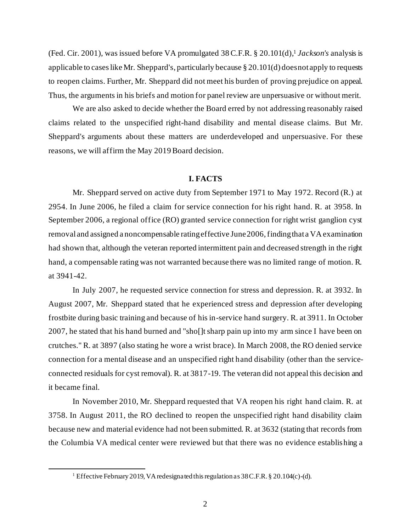(Fed. Cir. 2001), was issued before VA promulgated 38 C.F.R. § 20.101(d), <sup>1</sup> *Jackson's* analysis is applicable to cases like Mr. Sheppard's, particularly because § 20.101(d) does not apply to requests to reopen claims. Further, Mr. Sheppard did not meet his burden of proving prejudice on appeal. Thus, the arguments in his briefs and motion for panel review are unpersuasive or without merit.

We are also asked to decide whether the Board erred by not addressing reasonably raised claims related to the unspecified right-hand disability and mental disease claims. But Mr. Sheppard's arguments about these matters are underdeveloped and unpersuasive. For these reasons, we will affirm the May 2019 Board decision.

## **I. FACTS**

Mr. Sheppard served on active duty from September 1971 to May 1972. Record (R.) at 2954. In June 2006, he filed a claim for service connection for his right hand. R. at 3958. In September 2006, a regional office (RO) granted service connection for right wrist ganglion cyst removal and assigned a noncompensable rating effective June 2006, finding that a VA examination had shown that, although the veteran reported intermittent pain and decreased strength in the right hand, a compensable rating was not warranted because there was no limited range of motion. R. at 3941-42.

In July 2007, he requested service connection for stress and depression. R. at 3932. In August 2007, Mr. Sheppard stated that he experienced stress and depression after developing frostbite during basic training and because of his in-service hand surgery. R. at 3911. In October 2007, he stated that his hand burned and "sho[]t sharp pain up into my arm since I have been on crutches." R. at 3897 (also stating he wore a wrist brace). In March 2008, the RO denied service connection for a mental disease and an unspecified right hand disability (other than the serviceconnected residuals for cyst removal). R. at 3817-19. The veteran did not appeal this decision and it became final.

In November 2010, Mr. Sheppard requested that VA reopen his right hand claim. R. at 3758. In August 2011, the RO declined to reopen the unspecified right hand disability claim because new and material evidence had not been submitted. R. at 3632 (stating that records from the Columbia VA medical center were reviewed but that there was no evidence establishing a

<sup>&</sup>lt;sup>1</sup> Effective February 2019, VA redesignated this regulation as 38 C.F.R. § 20.104(c)-(d).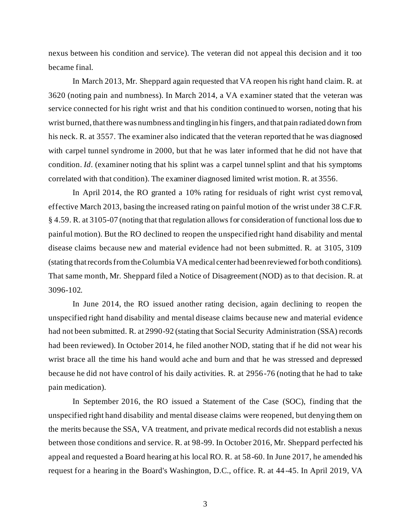nexus between his condition and service). The veteran did not appeal this decision and it too became final.

In March 2013, Mr. Sheppard again requested that VA reopen his right hand claim. R. at 3620 (noting pain and numbness). In March 2014, a VA examiner stated that the veteran was service connected for his right wrist and that his condition continued to worsen, noting that his wrist burned, that there was numbness and tingling in his fingers, and that pain radiated down from his neck. R. at 3557. The examiner also indicated that the veteran reported that he was diagnosed with carpel tunnel syndrome in 2000, but that he was later informed that he did not have that condition. *Id*. (examiner noting that his splint was a carpel tunnel splint and that his symptoms correlated with that condition). The examiner diagnosed limited wrist motion. R. at 3556.

In April 2014, the RO granted a 10% rating for residuals of right wrist cyst remo val, effective March 2013, basing the increased rating on painful motion of the wrist under 38 C.F.R. § 4.59. R. at 3105-07 (noting that that regulation allows for consideration of functional loss due to painful motion). But the RO declined to reopen the unspecified right hand disability and mental disease claims because new and material evidence had not been submitted. R. at 3105, 3109 (stating that records from the Columbia VA medical center had been reviewed for both conditions). That same month, Mr. Sheppard filed a Notice of Disagreement (NOD) as to that decision. R. at 3096-102.

In June 2014, the RO issued another rating decision, again declining to reopen the unspecified right hand disability and mental disease claims because new and material evidence had not been submitted. R. at 2990-92 (stating that Social Security Administration (SSA) records had been reviewed). In October 2014, he filed another NOD, stating that if he did not wear his wrist brace all the time his hand would ache and burn and that he was stressed and depressed because he did not have control of his daily activities. R. at 2956-76 (noting that he had to take pain medication).

In September 2016, the RO issued a Statement of the Case (SOC), finding that the unspecified right hand disability and mental disease claims were reopened, but denying them on the merits because the SSA, VA treatment, and private medical records did not establish a nexus between those conditions and service. R. at 98-99. In October 2016, Mr. Sheppard perfected his appeal and requested a Board hearing at his local RO. R. at 58-60. In June 2017, he amended his request for a hearing in the Board's Washington, D.C., office. R. at 44-45. In April 2019, VA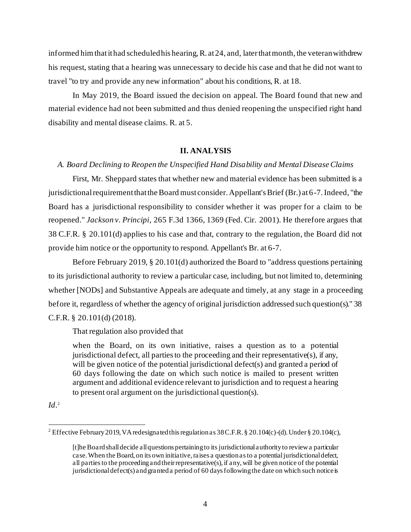informed him that it had scheduled his hearing, R. at 24, and, later that month, the veteran withdrew his request, stating that a hearing was unnecessary to decide his case and that he did not want to travel "to try and provide any new information" about his conditions, R. at 18.

In May 2019, the Board issued the decision on appeal. The Board found that new and material evidence had not been submitted and thus denied reopening the unspecified right hand disability and mental disease claims. R. at 5.

### **II. ANALYSIS**

# *A. Board Declining to Reopen the Unspecified Hand Disability and Mental Disease Claims*

First, Mr. Sheppard states that whether new and material evidence has been submitted is a jurisdictional requirement that the Board must consider. Appellant's Brief (Br.) at 6-7. Indeed, "the Board has a jurisdictional responsibility to consider whether it was proper for a claim to be reopened." *Jackson v. Principi*, 265 F.3d 1366, 1369 (Fed. Cir. 2001). He therefore argues that 38 C.F.R. § 20.101(d) applies to his case and that, contrary to the regulation, the Board did not provide him notice or the opportunity to respond. Appellant's Br. at 6-7.

Before February 2019, § 20.101(d) authorized the Board to "address questions pertaining to its jurisdictional authority to review a particular case, including, but not limited to, determining whether [NODs] and Substantive Appeals are adequate and timely, at any stage in a proceeding before it, regardless of whether the agency of original jurisdiction addressed such question(s)." 38 C.F.R. § 20.101(d) (2018).

That regulation also provided that

when the Board, on its own initiative, raises a question as to a potential jurisdictional defect, all parties to the proceeding and their representative(s), if any, will be given notice of the potential jurisdictional defect(s) and granted a period of 60 days following the date on which such notice is mailed to present written argument and additional evidence relevant to jurisdiction and to request a hearing to present oral argument on the jurisdictional question(s).

*Id*. 2

<sup>&</sup>lt;sup>2</sup> Effective February 2019, VA redesignated this regulation as 38 C.F.R. § 20.104(c)-(d). Under § 20.104(c),

<sup>[</sup>t]he Board shall decide all questions pertaining to its jurisdictional authority to review a particular case. When the Board, on its own initiative, raises a question as to a potential jurisdictional defect, all parties to the proceeding and their representative(s), if any, will be given notice of the potential jurisdictional defect(s) and granted a period of 60 days following the date on which such notice is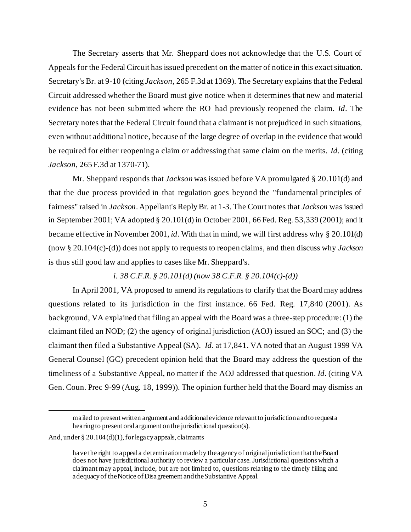The Secretary asserts that Mr. Sheppard does not acknowledge that the U.S. Court of Appeals for the Federal Circuit has issued precedent on the matter of notice in this exact situation. Secretary's Br. at 9-10 (citing *Jackson*, 265 F.3d at 1369). The Secretary explains that the Federal Circuit addressed whether the Board must give notice when it determines that new and material evidence has not been submitted where the RO had previously reopened the claim. *Id*. The Secretary notes that the Federal Circuit found that a claimant is not prejudiced in such situations, even without additional notice, because of the large degree of overlap in the evidence that would be required for either reopening a claim or addressing that same claim on the merits. *Id*. (citing *Jackson*, 265 F.3d at 1370-71).

Mr. Sheppard responds that *Jackson* was issued before VA promulgated § 20.101(d) and that the due process provided in that regulation goes beyond the "fundamental principles of fairness" raised in *Jackson*. Appellant's Reply Br. at 1-3. The Court notes that *Jackson* was issued in September 2001; VA adopted § 20.101(d) in October 2001, 66 Fed. Reg. 53,339 (2001); and it became effective in November 2001, *id*. With that in mind, we will first address why § 20.101(d) (now § 20.104(c)-(d)) does not apply to requests to reopen claims, and then discuss why *Jackson* is thus still good law and applies to cases like Mr. Sheppard's.

# *i. 38 C.F.R. § 20.101(d) (now 38 C.F.R. § 20.104(c)-(d))*

In April 2001, VA proposed to amend its regulations to clarify that the Board may address questions related to its jurisdiction in the first instance. 66 Fed. Reg. 17,840 (2001). As background, VA explained that filing an appeal with the Board was a three-step procedure: (1) the claimant filed an NOD; (2) the agency of original jurisdiction (AOJ) issued an SOC; and (3) the claimant then filed a Substantive Appeal (SA). *Id*. at 17,841. VA noted that an August 1999 VA General Counsel (GC) precedent opinion held that the Board may address the question of the timeliness of a Substantive Appeal, no matter if the AOJ addressed that question. *Id*. (citing VA Gen. Coun. Prec 9-99 (Aug. 18, 1999)). The opinion further held that the Board may dismiss an

mailed to present written argument and additional evidence relevant to jurisdiction and to request a hearing to present oral argument on the jurisdictional question(s).

And, under  $\S 20.104(d)(1)$ , for legacy appeals, claimants

have the right to appeal a determination made by the agency of original jurisdiction that the Board does not have jurisdictional authority to review a particular case. Jurisdictional questions which a claimant may appeal, include, but are not limited to, questions relating to the timely filing and adequacy of the Notice of Disagreement and the Substantive Appeal.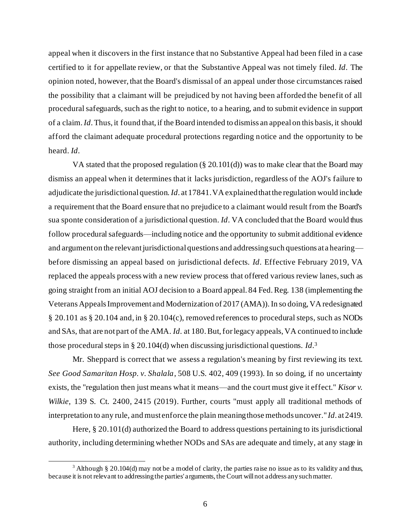appeal when it discovers in the first instance that no Substantive Appeal had been filed in a case certified to it for appellate review, or that the Substantive Appeal was not timely filed. *Id*. The opinion noted, however, that the Board's dismissal of an appeal under those circumstances raised the possibility that a claimant will be prejudiced by not having been afforded the benefit of all procedural safeguards, such as the right to notice, to a hearing, and to submit evidence in support of a claim. *Id*. Thus, it found that, if the Board intended to dismiss an appeal on this basis, it should afford the claimant adequate procedural protections regarding notice and the opportunity to be heard. *Id*.

VA stated that the proposed regulation (§ 20.101(d)) was to make clear that the Board may dismiss an appeal when it determines that it lacks jurisdiction, regardless of the AOJ's failure to adjudicate the jurisdictional question. *Id*. at 17841. VA explained that the regulation would include a requirement that the Board ensure that no prejudice to a claimant would result from the Board's sua sponte consideration of a jurisdictional question. *Id*. VA concluded that the Board would thus follow procedural safeguards—including notice and the opportunity to submit additional evidence and argument on the relevant jurisdictional questions and addressing such questions at a hearing before dismissing an appeal based on jurisdictional defects. *Id*. Effective February 2019, VA replaced the appeals process with a new review process that offered various review lanes, such as going straight from an initial AOJ decision to a Board appeal. 84 Fed. Reg. 138 (implementing the Veterans Appeals Improvement and Modernization of 2017 (AMA)). In so doing, VA redesignated § 20.101 as § 20.104 and, in § 20.104(c), removed references to procedural steps, such as NODs and SAs, that are not part of the AMA. *Id*. at 180. But, for legacy appeals, VA continued to include those procedural steps in § 20.104(d) when discussing jurisdictional questions. *Id*. 3

Mr. Sheppard is correct that we assess a regulation's meaning by first reviewing its text. *See Good Samaritan Hosp. v. Shalala*, 508 U.S. 402, 409 (1993). In so doing, if no uncertainty exists, the "regulation then just means what it means—and the court must give it effect." *Kisor v. Wilkie*, 139 S. Ct. 2400, 2415 (2019). Further, courts "must apply all traditional methods of interpretation to any rule, and must enforce the plain meaning those methods uncover." *Id*. at 2419.

Here, § 20.101(d) authorized the Board to address questions pertaining to its jurisdictional authority, including determining whether NODs and SAs are adequate and timely, at any stage in

<sup>&</sup>lt;sup>3</sup> Although § 20.104(d) may not be a model of clarity, the parties raise no issue as to its validity and thus, because it is not relevant to addressing the parties' arguments, the Court will not address any such matter.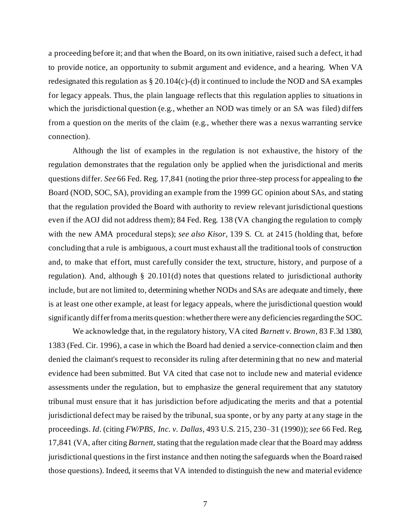a proceeding before it; and that when the Board, on its own initiative, raised such a defect, it had to provide notice, an opportunity to submit argument and evidence, and a hearing. When VA redesignated this regulation as § 20.104(c)-(d) it continued to include the NOD and SA examples for legacy appeals. Thus, the plain language reflects that this regulation applies to situations in which the jurisdictional question (e.g., whether an NOD was timely or an SA was filed) differs from a question on the merits of the claim (e.g., whether there was a nexus warranting service connection).

Although the list of examples in the regulation is not exhaustive, the history of the regulation demonstrates that the regulation only be applied when the jurisdictional and merits questions differ. *See* 66 Fed. Reg. 17,841 (noting the prior three-step process for appealing to the Board (NOD, SOC, SA), providing an example from the 1999 GC opinion about SAs, and stating that the regulation provided the Board with authority to review relevant jurisdictional questions even if the AOJ did not address them); 84 Fed. Reg. 138 (VA changing the regulation to comply with the new AMA procedural steps); *see also Kisor*, 139 S. Ct. at 2415 (holding that, before concluding that a rule is ambiguous, a court must exhaust all the traditional tools of construction and, to make that effort, must carefully consider the text, structure, history, and purpose of a regulation). And, although § 20.101(d) notes that questions related to jurisdictional authority include, but are not limited to, determining whether NODs and SAs are adequate and timely, there is at least one other example, at least for legacy appeals, where the jurisdictional question would significantly differ from amerits question: whether there were any deficiencies regardingthe SOC.

We acknowledge that, in the regulatory history, VA cited *Barnett v. Brown*, 83 F.3d 1380, 1383 (Fed. Cir. 1996), a case in which the Board had denied a service-connection claim and then denied the claimant's request to reconsider its ruling after determining that no new and material evidence had been submitted. But VA cited that case not to include new and material evidence assessments under the regulation, but to emphasize the general requirement that any statutory tribunal must ensure that it has jurisdiction before adjudicating the merits and that a potential jurisdictional defect may be raised by the tribunal, sua sponte, or by any party at any stage in the proceedings. *Id*. (citing *FW/PBS, Inc. v. Dallas*, 493 U.S. 215, 230–31 (1990)); *see* 66 Fed. Reg. 17,841 (VA, after citing *Barnett*, stating that the regulation made clear that the Board may address jurisdictional questions in the first instance and then noting the safeguards when the Board raised those questions). Indeed, it seems that VA intended to distinguish the new and material evidence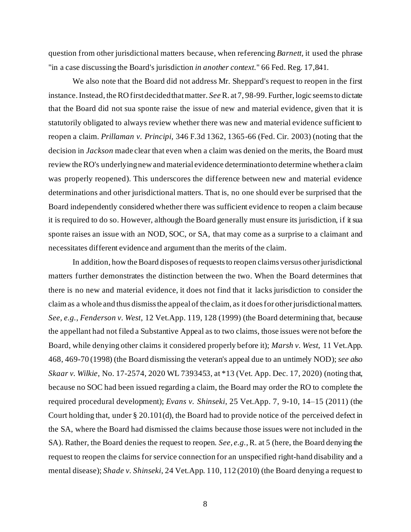question from other jurisdictional matters because, when referencing *Barnett,* it used the phrase "in a case discussing the Board's jurisdiction *in another context.*" 66 Fed. Reg. 17,841.

We also note that the Board did not address Mr. Sheppard's request to reopen in the first instance. Instead, the RO first decided that matter. *See*R. at 7, 98-99. Further, logic seems to dictate that the Board did not sua sponte raise the issue of new and material evidence, given that it is statutorily obligated to always review whether there was new and material evidence sufficient to reopen a claim. *Prillaman v. Principi*, 346 F.3d 1362, 1365-66 (Fed. Cir. 2003) (noting that the decision in *Jackson* made clear that even when a claim was denied on the merits, the Board must review the RO's underlying new and material evidence determination to determine whether a claim was properly reopened). This underscores the difference between new and material evidence determinations and other jurisdictional matters. That is, no one should ever be surprised that the Board independently considered whether there was sufficient evidence to reopen a claim because it is required to do so. However, although the Board generally must ensure its jurisdiction, if it sua sponte raises an issue with an NOD, SOC, or SA, that may come as a surprise to a claimant and necessitates different evidence and argument than the merits of the claim.

In addition, how the Board disposes of requests to reopen claims versus other jurisdictional matters further demonstrates the distinction between the two. When the Board determines that there is no new and material evidence, it does not find that it lacks jurisdiction to consider the claim as a whole and thus dismiss the appeal of the claim, as it does for other jurisdictional matters. *See, e.g.*, *Fenderson v. West*, 12 Vet.App. 119, 128 (1999) (the Board determining that, because the appellant had not filed a Substantive Appeal as to two claims, those issues were not before the Board, while denying other claims it considered properly before it); *Marsh v. West*, 11 Vet.App. 468, 469-70 (1998) (the Board dismissing the veteran's appeal due to an untimely NOD); *see also Skaar v. Wilkie*, No. 17-2574, 2020 WL 7393453, at \*13 (Vet. App. Dec. 17, 2020) (noting that, because no SOC had been issued regarding a claim, the Board may order the RO to complete the required procedural development); *Evans v. Shinseki*, 25 Vet.App. 7, 9-10, 14–15 (2011) (the Court holding that, under § 20.101(d), the Board had to provide notice of the perceived defect in the SA, where the Board had dismissed the claims because those issues were not included in the SA). Rather, the Board denies the request to reopen. *See, e.g.*,R. at 5 (here, the Board denying the request to reopen the claims for service connection for an unspecified right-hand disability and a mental disease); *Shade v. Shinseki*, 24 Vet.App. 110, 112 (2010) (the Board denying a request to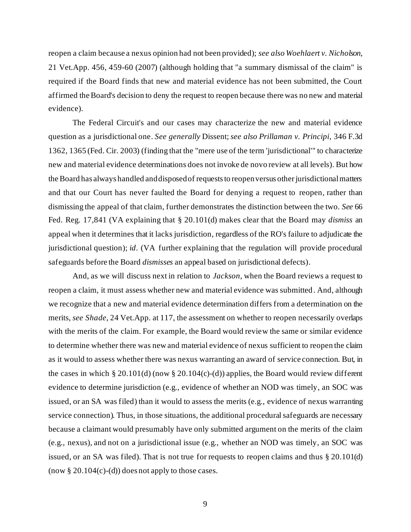reopen a claim because a nexus opinion had not been provided); *see also Woehlaert v. Nicholson*, 21 Vet.App. 456, 459-60 (2007) (although holding that "a summary dismissal of the claim" is required if the Board finds that new and material evidence has not been submitted, the Court affirmed the Board's decision to deny the request to reopen because there was no new and material evidence).

The Federal Circuit's and our cases may characterize the new and material evidence question as a jurisdictional one. *See generally* Dissent;*see also Prillaman v. Principi*, 346 F.3d 1362, 1365 (Fed. Cir. 2003) (finding that the "mere use of the term 'jurisdictional'" to characterize new and material evidence determinations does not invoke de novo review at all levels). But how the Board has always handled and disposed of requests to reopen versus other jurisdictional matters and that our Court has never faulted the Board for denying a request to reopen, rather than dismissing the appeal of that claim, further demonstrates the distinction between the two. *See* 66 Fed. Reg. 17,841 (VA explaining that § 20.101(d) makes clear that the Board may *dismiss* an appeal when it determines that it lacks jurisdiction, regardless of the RO's failure to adjudicate the jurisdictional question); *id*. (VA further explaining that the regulation will provide procedural safeguards before the Board *dismisses* an appeal based on jurisdictional defects).

And, as we will discuss next in relation to *Jackson*, when the Board reviews a request to reopen a claim, it must assess whether new and material evidence was submitted. And, although we recognize that a new and material evidence determination differs from a determination on the merits, *see Shade*, 24 Vet.App. at 117, the assessment on whether to reopen necessarily overlaps with the merits of the claim. For example, the Board would review the same or similar evidence to determine whether there was new and material evidence of nexus sufficient to reopen the claim as it would to assess whether there was nexus warranting an award of service connection. But, in the cases in which § 20.101(d) (now § 20.104(c)-(d)) applies, the Board would review different evidence to determine jurisdiction (e.g., evidence of whether an NOD was timely, an SOC was issued, or an SA was filed) than it would to assess the merits (e.g., evidence of nexus warranting service connection). Thus, in those situations, the additional procedural safeguards are necessary because a claimant would presumably have only submitted argument on the merits of the claim (e.g., nexus), and not on a jurisdictional issue (e.g., whether an NOD was timely, an SOC was issued, or an SA was filed). That is not true for requests to reopen claims and thus § 20.101(d) (now  $\S 20.104(c)$ -(d)) does not apply to those cases.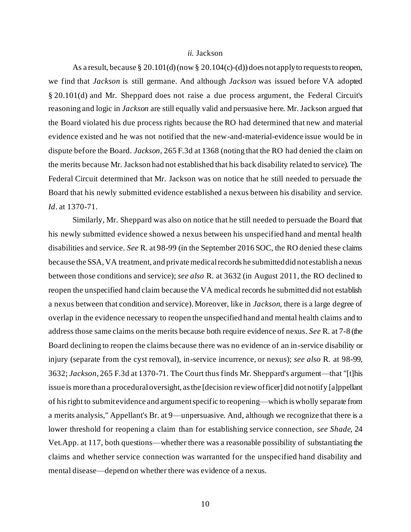### *ii.* Jackson

As a result, because § 20.101(d) (now § 20.104(c)-(d)) does not apply to requests to reopen, we find that *Jackson* is still germane. And although *Jackson* was issued before VA adopted § 20.101(d) and Mr. Sheppard does not raise a due process argument, the Federal Circuit's reasoning and logic in *Jackson* are still equally valid and persuasive here. Mr. Jackson argued that the Board violated his due process rights because the RO had determined that new and material evidence existed and he was not notified that the new-and-material-evidence issue would be in dispute before the Board. *Jackson*, 265 F.3d at 1368 (noting that the RO had denied the claim on the merits because Mr. Jackson had not established that his back disability related to service). The Federal Circuit determined that Mr. Jackson was on notice that he still needed to persuade the Board that his newly submitted evidence established a nexus between his disability and service. *Id*. at 1370-71.

Similarly, Mr. Sheppard was also on notice that he still needed to persuade the Board that his newly submitted evidence showed a nexus between his unspecified hand and mental health disabilities and service. *See* R. at 98-99 (in the September 2016 SOC, the RO denied these claims because the SSA, VA treatment, and private medical records he submitted did not establish a nexus between those conditions and service); *see also* R. at 3632 (in August 2011, the RO declined to reopen the unspecified hand claim because the VA medical records he submitted did not establish a nexus between that condition and service). Moreover, like in *Jackson*, there is a large degree of overlap in the evidence necessary to reopen the unspecified hand and mental health claims and to address those same claims on the merits because both require evidence of nexus. *See* R. at 7-8 (the Board declining to reopen the claims because there was no evidence of an in-service disability or injury (separate from the cyst removal), in-service incurrence, or nexus); *see also* R. at 98-99, 3632; *Jackson*, 265 F.3d at 1370-71. The Court thus finds Mr. Sheppard's argument—that "[t]his issue is more than a procedural oversight, as the [decision review officer] did not notify [a]ppellant of his right to submit evidence and argument specific to reopening—which is wholly separate from a merits analysis," Appellant's Br. at 9—unpersuasive. And, although we recognize that there is a lower threshold for reopening a claim than for establishing service connection, *see Shade*, 24 Vet.App. at 117, both questions—whether there was a reasonable possibility of substantiating the claims and whether service connection was warranted for the unspecified hand disability and mental disease—depend on whether there was evidence of a nexus.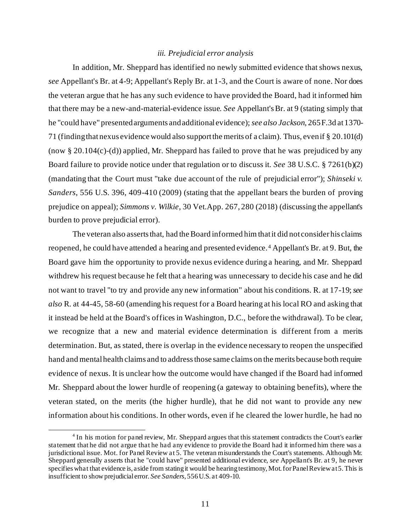### *iii. Prejudicial error analysis*

In addition, Mr. Sheppard has identified no newly submitted evidence that shows nexus, *see* Appellant's Br. at 4-9; Appellant's Reply Br. at 1-3, and the Court is aware of none. Nor does the veteran argue that he has any such evidence to have provided the Board, had it informed him that there may be a new-and-material-evidence issue. *See* Appellant's Br. at 9 (stating simply that he "could have" presented arguments and additional evidence); *see also Jackson*, 265 F.3d at 1370- 71 (finding that nexus evidence would also support the merits of a claim). Thus, even if § 20.101(d) (now  $\S 20.104(c)$ -(d)) applied, Mr. Sheppard has failed to prove that he was prejudiced by any Board failure to provide notice under that regulation or to discuss it. *See* 38 U.S.C. § 7261(b)(2) (mandating that the Court must "take due account of the rule of prejudicial error"); *Shinseki v. Sanders*, 556 U.S. 396, 409-410 (2009) (stating that the appellant bears the burden of proving prejudice on appeal); *Simmons v. Wilkie*, 30 Vet.App. 267, 280 (2018) (discussing the appellant's burden to prove prejudicial error).

The veteran also asserts that, had the Board informed him that it did not consider his claims reopened, he could have attended a hearing and presented evidence. <sup>4</sup> Appellant's Br. at 9. But, the Board gave him the opportunity to provide nexus evidence during a hearing, and Mr. Sheppard withdrew his request because he felt that a hearing was unnecessary to decide his case and he did not want to travel "to try and provide any new information" about his conditions. R. at 17-19; *see also* R. at 44-45, 58-60 (amending his request for a Board hearing at his local RO and asking that it instead be held at the Board's offices in Washington, D.C., before the withdrawal). To be clear, we recognize that a new and material evidence determination is different from a merits determination. But, as stated, there is overlap in the evidence necessary to reopen the unspecified hand and mental health claims and to address those same claims on the merits because both require evidence of nexus. It is unclear how the outcome would have changed if the Board had informed Mr. Sheppard about the lower hurdle of reopening (a gateway to obtaining benefits), where the veteran stated, on the merits (the higher hurdle), that he did not want to provide any new information about his conditions. In other words, even if he cleared the lower hurdle, he had no

<sup>&</sup>lt;sup>4</sup> In his motion for panel review, Mr. Sheppard argues that this statement contradicts the Court's earlier statement that he did not argue that he had any evidence to provide the Board had it informed him there was a jurisdictional issue. Mot. for Panel Review at 5. The veteran misunderstands the Court's statements. Although Mr. Sheppard generally asserts that he "could have" presented additional evidence, *see* Appellant's Br. at 9, he never specifies what that evidence is, aside from stating it would be hearing testimony, Mot. for Panel Review at 5. This is insufficient to show prejudicial error. *See Sanders*, 556 U.S. at 409-10.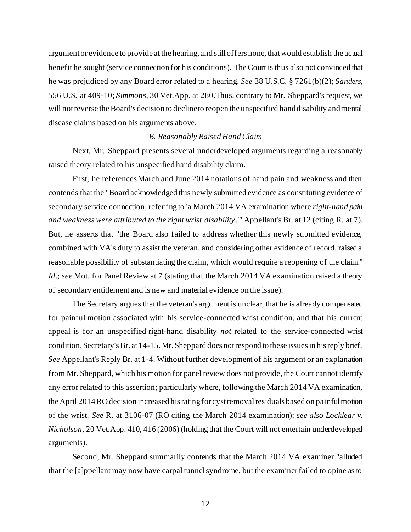argument or evidence to provide at the hearing, and still offers none, that would establish the actual benefit he sought (service connection for his conditions). TheCourt is thus also not convinced that he was prejudiced by any Board error related to a hearing. *See* 38 U.S.C. § 7261(b)(2); *Sanders*, 556 U.S. at 409-10; *Simmons*, 30 Vet.App. at 280.Thus, contrary to Mr. Sheppard's request, we will not reverse the Board's decision to decline to reopen the unspecified hand disability and mental disease claims based on his arguments above.

## *B. Reasonably Raised Hand Claim*

Next, Mr. Sheppard presents several underdeveloped arguments regarding a reasonably raised theory related to his unspecified hand disability claim.

First, he references March and June 2014 notations of hand pain and weakness and then contends that the "Board acknowledged this newly submitted evidence as constituting evidence of secondary service connection, referring to 'a March 2014 VA examination where *right-hand pain and weakness were attributed to the right wrist disability*.'" Appellant's Br. at 12 (citing R. at 7). But, he asserts that "the Board also failed to address whether this newly submitted evidence, combined with VA's duty to assist the veteran, and considering other evidence of record, raised a reasonable possibility of substantiating the claim, which would require a reopening of the claim." *Id*.; *see* Mot. for Panel Review at 7 (stating that the March 2014 VA examination raised a theory of secondary entitlement and is new and material evidence on the issue).

The Secretary argues that the veteran's argument is unclear, that he is already compensated for painful motion associated with his service-connected wrist condition, and that his current appeal is for an unspecified right-hand disability *not* related to the service-connected wrist condition. Secretary's Br. at 14-15. Mr. Sheppard does not respond to these issues in his reply brief. *See* Appellant's Reply Br. at 1-4. Without further development of his argument or an explanation from Mr. Sheppard, which his motion for panel review does not provide, the Court cannot identify any error related to this assertion; particularly where, following the March 2014 VA examination, the April 2014 RO decision increased his rating for cyst removal residuals based on pa inful motion of the wrist. *See* R. at 3106-07 (RO citing the March 2014 examination); *see also Locklear v. Nicholson*, 20 Vet.App. 410, 416 (2006) (holding that the Court will not entertain underdeveloped arguments).

Second, Mr. Sheppard summarily contends that the March 2014 VA examiner "alluded that the [a]ppellant may now have carpal tunnel syndrome, but the examiner failed to opine as to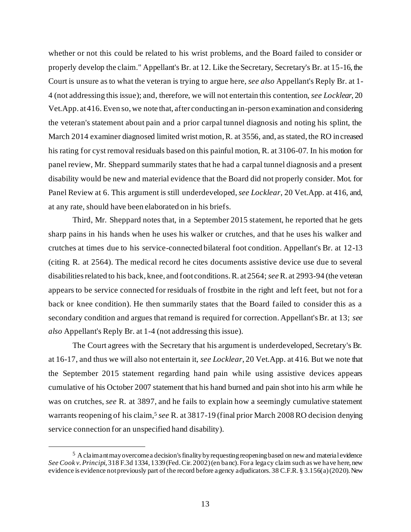whether or not this could be related to his wrist problems, and the Board failed to consider or properly develop the claim." Appellant's Br. at 12. Like the Secretary, Secretary's Br. at 15-16, the Court is unsure as to what the veteran is trying to argue here, *see also* Appellant's Reply Br. at 1- 4 (not addressing this issue); and, therefore, we will not entertain this contention, *see Locklear*, 20 Vet.App. at 416. Even so, we note that, after conducting an in-person examination and considering the veteran's statement about pain and a prior carpal tunnel diagnosis and noting his splint, the March 2014 examiner diagnosed limited wrist motion, R. at 3556, and, as stated, the RO increased his rating for cyst removal residuals based on this painful motion, R. at 3106-07. In his motion for panel review, Mr. Sheppard summarily states that he had a carpal tunnel diagnosis and a present disability would be new and material evidence that the Board did not properly consider. Mot. for Panel Review at 6. This argument is still underdeveloped, *see Locklear*, 20 Vet.App. at 416, and, at any rate, should have been elaborated on in his briefs.

Third, Mr. Sheppard notes that, in a September 2015 statement, he reported that he gets sharp pains in his hands when he uses his walker or crutches, and that he uses his walker and crutches at times due to his service-connected bilateral foot condition. Appellant's Br. at 12-13 (citing R. at 2564). The medical record he cites documents assistive device use due to several disabilities related to his back, knee, and foot conditions. R. at 2564; *see*R. at 2993-94 (the veteran appears to be service connected for residuals of frostbite in the right and left feet, but not for a back or knee condition). He then summarily states that the Board failed to consider this as a secondary condition and argues that remand is required for correction. Appellant's Br. at 13; *see also* Appellant's Reply Br. at 1-4 (not addressing this issue).

The Court agrees with the Secretary that his argument is underdeveloped, Secretary's Br. at 16-17, and thus we will also not entertain it, *see Locklear*, 20 Vet.App. at 416. But we note that the September 2015 statement regarding hand pain while using assistive devices appears cumulative of his October 2007 statement that his hand burned and pain shot into his arm while he was on crutches, *see* R. at 3897, and he fails to explain how a seemingly cumulative statement warrants reopening of his claim,<sup>5</sup> see R. at 3817-19 (final prior March 2008 RO decision denying service connection for an unspecified hand disability).

 $5$  A claimant may overcome a decision's finality by requesting reopening based on new and material evidence *See Cook v. Principi*, 318 F.3d 1334, 1339 (Fed. Cir. 2002) (en banc). For a legacy claim such as we have here, new evidence is evidence not previously part of the record before agency adjudicators. 38 C.F.R. § 3.156(a) (2020). New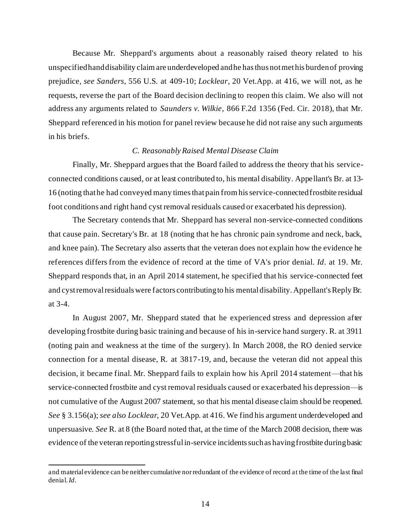Because Mr. Sheppard's arguments about a reasonably raised theory related to his unspecified hand disability claim are underdeveloped and he has thus not met his burden of proving prejudice, *see Sanders*, 556 U.S. at 409-10; *Locklear*, 20 Vet.App. at 416, we will not, as he requests, reverse the part of the Board decision declining to reopen this claim. We also will not address any arguments related to *Saunders v. Wilkie*, 866 F.2d 1356 (Fed. Cir. 2018), that Mr. Sheppard referenced in his motion for panel review because he did not raise any such arguments in his briefs.

### *C. Reasonably Raised Mental Disease Claim*

Finally, Mr. Sheppard argues that the Board failed to address the theory that his serviceconnected conditions caused, or at least contributed to, his mental disability. Appellant's Br. at 13- 16 (noting that he had conveyed many timesthat pain from his service-connected frostbite residual foot conditions and right hand cyst removal residuals caused or exacerbated his depression).

The Secretary contends that Mr. Sheppard has several non-service-connected conditions that cause pain. Secretary's Br. at 18 (noting that he has chronic pain syndrome and neck, back, and knee pain). The Secretary also asserts that the veteran does not explain how the evidence he references differs from the evidence of record at the time of VA's prior denial. *Id*. at 19. Mr. Sheppard responds that, in an April 2014 statement, he specified that his service-connected feet and cyst removal residuals were factors contributing to his mental disability. Appellant's Reply Br. at 3-4.

In August 2007, Mr. Sheppard stated that he experienced stress and depression after developing frostbite during basic training and because of his in-service hand surgery. R. at 3911 (noting pain and weakness at the time of the surgery). In March 2008, the RO denied service connection for a mental disease, R. at 3817-19, and, because the veteran did not appeal this decision, it became final. Mr. Sheppard fails to explain how his April 2014 statement—that his service-connected frostbite and cyst removal residuals caused or exacerbated his depression—is not cumulative of the August 2007 statement, so that his mental disease claim should be reopened. *See* § 3.156(a); *see also Locklear*, 20 Vet.App. at 416. We find his argument underdeveloped and unpersuasive. *See* R. at 8 (the Board noted that, at the time of the March 2008 decision, there was evidence of the veteran reporting stressful in-service incidents such as having frostbite during basic

and material evidence can be neither cumulative nor redundant of the evidence of record at the time of the last final denial.*Id*.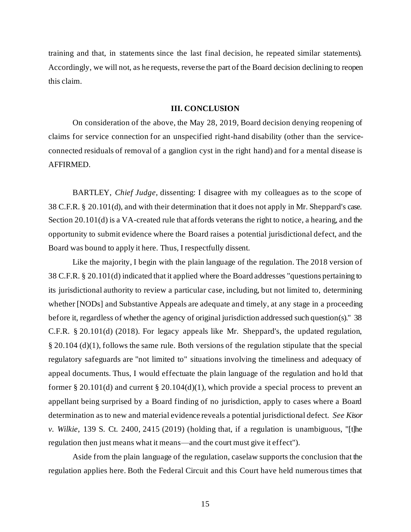training and that, in statements since the last final decision, he repeated similar statements). Accordingly, we will not, as he requests, reverse the part of the Board decision declining to reopen this claim.

## **III. CONCLUSION**

On consideration of the above, the May 28, 2019, Board decision denying reopening of claims for service connection for an unspecified right-hand disability (other than the serviceconnected residuals of removal of a ganglion cyst in the right hand) and for a mental disease is AFFIRMED.

BARTLEY, *Chief Judge*, dissenting: I disagree with my colleagues as to the scope of 38 C.F.R. § 20.101(d), and with their determination that it does not apply in Mr. Sheppard's case. Section 20.101(d) is a VA-created rule that affords veterans the right to notice, a hearing, and the opportunity to submit evidence where the Board raises a potential jurisdictional defect, and the Board was bound to apply it here. Thus, I respectfully dissent.

Like the majority, I begin with the plain language of the regulation. The 2018 version of 38 C.F.R. § 20.101(d) indicated that it applied where the Board addresses "questions pertaining to its jurisdictional authority to review a particular case, including, but not limited to, determining whether [NODs] and Substantive Appeals are adequate and timely, at any stage in a proceeding before it, regardless of whether the agency of original jurisdiction addressed such question(s)." 38 C.F.R. § 20.101(d) (2018). For legacy appeals like Mr. Sheppard's, the updated regulation, § 20.104 (d)(1), follows the same rule. Both versions of the regulation stipulate that the special regulatory safeguards are "not limited to" situations involving the timeliness and adequacy of appeal documents. Thus, I would effectuate the plain language of the regulation and ho ld that former § 20.101(d) and current § 20.104(d)(1), which provide a special process to prevent an appellant being surprised by a Board finding of no jurisdiction, apply to cases where a Board determination as to new and material evidence reveals a potential jurisdictional defect. *See Kisor v. Wilkie*, 139 S. Ct. 2400, 2415 (2019) (holding that, if a regulation is unambiguous, "[t]he regulation then just means what it means—and the court must give it effect").

Aside from the plain language of the regulation, caselaw supports the conclusion that the regulation applies here. Both the Federal Circuit and this Court have held numerous times that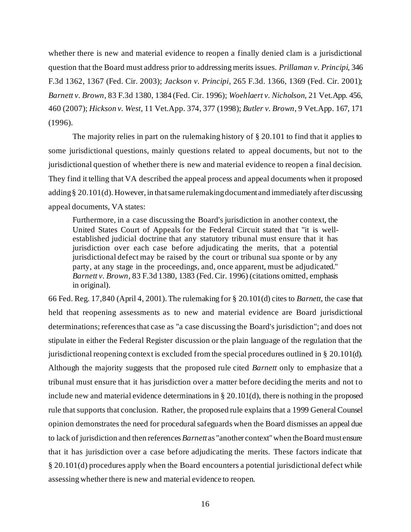whether there is new and material evidence to reopen a finally denied clam is a jurisdictional question that the Board must address prior to addressing merits issues. *Prillaman v. Principi*, 346 F.3d 1362, 1367 (Fed. Cir. 2003); *Jackson v. Principi*, 265 F.3d. 1366, 1369 (Fed. Cir. 2001); *Barnett v. Brown*, 83 F.3d 1380, 1384 (Fed. Cir. 1996); *Woehlaert v. Nicholson*, 21 Vet.App. 456, 460 (2007); *Hickson v. West*, 11 Vet.App. 374, 377 (1998); *Butler v. Brown*, 9 Vet.App. 167, 171 (1996).

The majority relies in part on the rulemaking history of  $\S 20.101$  to find that it applies to some jurisdictional questions, mainly questions related to appeal documents, but not to the jurisdictional question of whether there is new and material evidence to reopen a final decision. They find it telling that VA described the appeal process and appeal documents when it proposed adding § 20.101(d). However, in that same rulemaking document and immediately after discussing appeal documents, VA states:

Furthermore, in a case discussing the Board's jurisdiction in another context, the United States Court of Appeals for the Federal Circuit stated that "it is wellestablished judicial doctrine that any statutory tribunal must ensure that it has jurisdiction over each case before adjudicating the merits, that a potential jurisdictional defect may be raised by the court or tribunal sua sponte or by any party, at any stage in the proceedings, and, once apparent, must be adjudicated." *Barnett v. Brown*, 83 F.3d 1380, 1383 (Fed. Cir. 1996) (citations omitted, emphasis in original).

66 Fed. Reg. 17,840 (April 4, 2001). The rulemaking for § 20.101(d) cites to *Barnett*, the case that held that reopening assessments as to new and material evidence are Board jurisdictional determinations; references that case as "a case discussing the Board's jurisdiction"; and does not stipulate in either the Federal Register discussion or the plain language of the regulation that the jurisdictional reopening context is excluded from the special procedures outlined in § 20.101(d). Although the majority suggests that the proposed rule cited *Barnett* only to emphasize that a tribunal must ensure that it has jurisdiction over a matter before deciding the merits and not to include new and material evidence determinations in § 20.101(d), there is nothing in the proposed rule that supports that conclusion. Rather, the proposed rule explains that a 1999 General Counsel opinion demonstrates the need for procedural safeguards when the Board dismisses an appeal due to lack of jurisdiction and then references *Barnett* as "another context" when the Board must ensure that it has jurisdiction over a case before adjudicating the merits. These factors indicate that § 20.101(d) procedures apply when the Board encounters a potential jurisdictional defect while assessing whether there is new and material evidence to reopen.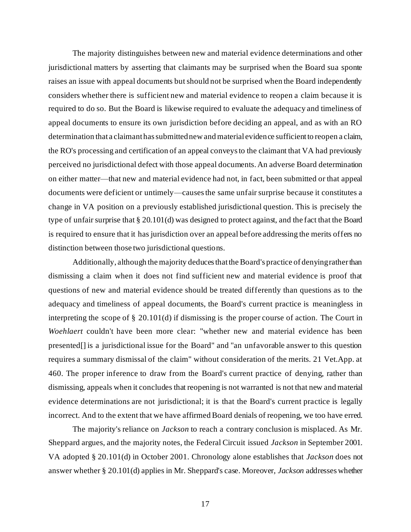The majority distinguishes between new and material evidence determinations and other jurisdictional matters by asserting that claimants may be surprised when the Board sua sponte raises an issue with appeal documents but should not be surprised when the Board independently considers whether there is sufficient new and material evidence to reopen a claim because it is required to do so. But the Board is likewise required to evaluate the adequacy and timeliness of appeal documents to ensure its own jurisdiction before deciding an appeal, and as with an RO determination that a claimant has submitted new and material evidence sufficient to reopen a claim, the RO's processing and certification of an appeal conveys to the claimant that VA had previously perceived no jurisdictional defect with those appeal documents. An adverse Board determination on either matter—that new and material evidence had not, in fact, been submitted or that appeal documents were deficient or untimely—causes the same unfair surprise because it constitutes a change in VA position on a previously established jurisdictional question. This is precisely the type of unfair surprise that § 20.101(d) was designed to protect against, and the fact that the Board is required to ensure that it has jurisdiction over an appeal before addressing the merits offers no distinction between those two jurisdictional questions.

Additionally, although the majority deduces that the Board's practice of denying rather than dismissing a claim when it does not find sufficient new and material evidence is proof that questions of new and material evidence should be treated differently than questions as to the adequacy and timeliness of appeal documents, the Board's current practice is meaningless in interpreting the scope of § 20.101(d) if dismissing is the proper course of action. The Court in *Woehlaert* couldn't have been more clear: "whether new and material evidence has been presented[] is a jurisdictional issue for the Board" and "an unfavorable answer to this question requires a summary dismissal of the claim" without consideration of the merits. 21 Vet.App. at 460. The proper inference to draw from the Board's current practice of denying, rather than dismissing, appeals when it concludes that reopening is not warranted is not that new and material evidence determinations are not jurisdictional; it is that the Board's current practice is legally incorrect. And to the extent that we have affirmed Board denials of reopening, we too have erred.

The majority's reliance on *Jackson* to reach a contrary conclusion is misplaced. As Mr. Sheppard argues, and the majority notes, the Federal Circuit issued *Jackson* in September 2001. VA adopted § 20.101(d) in October 2001. Chronology alone establishes that *Jackson* does not answer whether § 20.101(d) applies in Mr. Sheppard's case. Moreover, *Jackson* addresses whether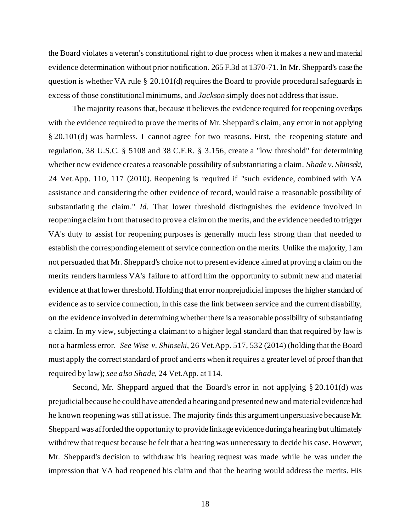the Board violates a veteran's constitutional right to due process when it makes a new and material evidence determination without prior notification. 265 F.3d at 1370-71. In Mr. Sheppard's case the question is whether VA rule § 20.101(d) requires the Board to provide procedural safeguards in excess of those constitutional minimums, and *Jackson* simply does not address that issue.

The majority reasons that, because it believes the evidence required for reopening overlaps with the evidence required to prove the merits of Mr. Sheppard's claim, any error in not applying § 20.101(d) was harmless. I cannot agree for two reasons. First, the reopening statute and regulation, 38 U.S.C. § 5108 and 38 C.F.R. § 3.156, create a "low threshold" for determining whether new evidence creates a reasonable possibility of substantiating a claim. *Shade v. Shinseki*, 24 Vet.App. 110, 117 (2010). Reopening is required if "such evidence, combined with VA assistance and considering the other evidence of record, would raise a reasonable possibility of substantiating the claim." *Id*. That lower threshold distinguishes the evidence involved in reopening a claim from that used to prove a claim on the merits, and the evidence needed to trigger VA's duty to assist for reopening purposes is generally much less strong than that needed to establish the corresponding element of service connection on the merits. Unlike the majority, I am not persuaded that Mr. Sheppard's choice not to present evidence aimed at proving a claim on the merits renders harmless VA's failure to afford him the opportunity to submit new and material evidence at that lower threshold. Holding that error nonprejudicial imposes the higher standard of evidence as to service connection, in this case the link between service and the current disability, on the evidence involved in determining whether there is a reasonable possibility of substantiating a claim. In my view, subjecting a claimant to a higher legal standard than that required by law is not a harmless error. *See Wise v. Shinseki*, 26 Vet.App. 517, 532 (2014) (holding that the Board must apply the correct standard of proof and errs when it requires a greater level of proof than that required by law); *see also Shade*, 24 Vet.App. at 114.

Second, Mr. Sheppard argued that the Board's error in not applying § 20.101(d) was prejudicial because he could have attended a hearing and presented new and material evidence had he known reopening was still at issue. The majority finds this argument unpersuasive because Mr. Sheppard was afforded the opportunity to provide linkage evidence during a hearing but ultimately withdrew that request because he felt that a hearing was unnecessary to decide his case. However, Mr. Sheppard's decision to withdraw his hearing request was made while he was under the impression that VA had reopened his claim and that the hearing would address the merits. His